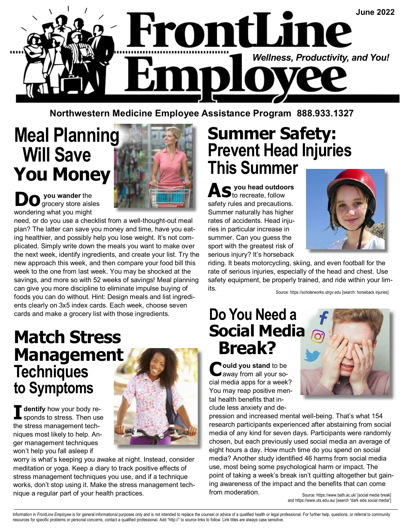

**Northwestern Medicine Employee Assistance Program 888.933.1327** 

# **Meal Planning Will Save You Money**



**D** you wander the grocery store aisles wondering what you might

need, or do you use a checklist from a well-thought-out meal plan? The latter can save you money and time, have you eating healthier, and possibly help you lose weight. It's not complicated. Simply write down the meals you want to make over the next week, identify ingredients, and create your list. Try the new approach this week, and then compare your food bill this week to the one from last week. You may be shocked at the savings, and more so with 52 weeks of savings! Meal planning can give you more discipline to eliminate impulse buying of foods you can do without. Hint: Design meals and list ingredients clearly on 3x5 index cards. Each week, choose seven cards and make a grocery list with those ingredients.

### **Match Stress Management Techniques to Symptoms**

**I** dentify how your body re-<br>sponds to stress. Then use the stress management techniques most likely to help. Anger management techniques won't help you fall asleep if



worry is what's keeping you awake at night. Instead, consider meditation or yoga. Keep a diary to track positive effects of stress management techniques you use, and if a technique works, don't stop using it. Make the stress management technique a regular part of your health practices.

### **Summer Safety: Prevent Head Injuries This Summer**

AS you head outdoors safety rules and precautions. Summer naturally has higher rates of accidents. Head injuries in particular increase in summer. Can you guess the sport with the greatest risk of serious injury? It's horseback



riding. It beats motorcycling, skiing, and even football for the rate of serious injuries, especially of the head and chest. Use safety equipment, be properly trained, and ride within your limits.

Source: https://scholarworks.utrgv.edu [search: horseback injuries]

### **Do You Need a Social Media Break?**

**Ould you stand** to be away from all your social media apps for a week? You may reap positive mental health benefits that include less anxiety and de-

pression and increased mental well-being. That's what 154 research participants experienced after abstaining from social media of any kind for seven days. Participants were randomly chosen, but each previously used social media an average of eight hours a day. How much time do you spend on social media? Another study identified 46 harms from social media use, most being some psychological harm or impact. The point of taking a week's break isn't quitting altogether but gaining awareness of the impact and the benefits that can come from moderation.

Source: https://www.bath.ac.uk/ [social media break] and https://www.uts.edu.au/ [search "dark side social media"]

Information in FrontLine Employee is for general informational purposes only and is not intended to replace the counsel or advice of a qualified health or legal professional. For further help, questions, or referral to com resources for specific problems or personal concerns, contact a qualified professional. Add "http://" to source links to follow. Link titles are always case sensitive.